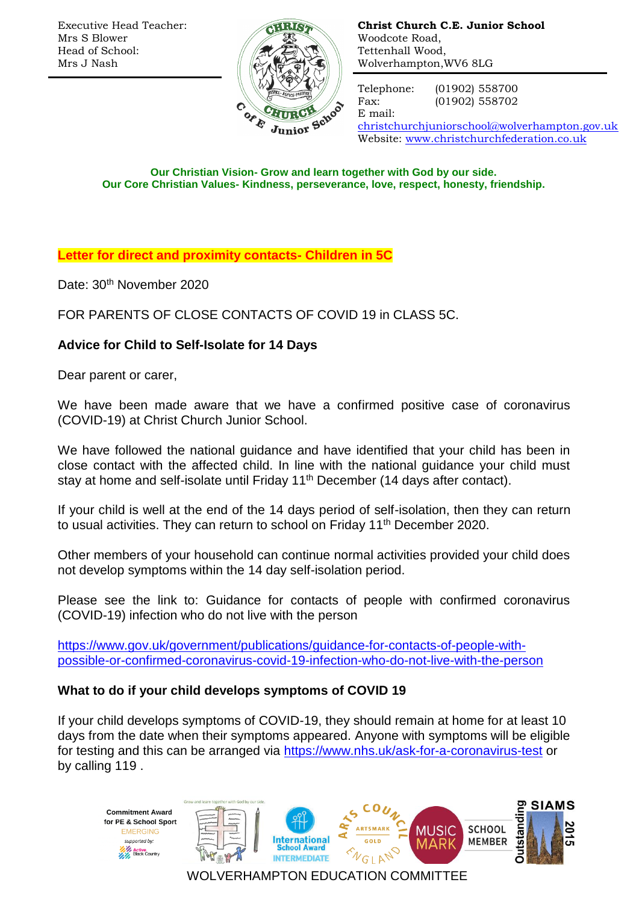Executive Head Teacher: Mrs S Blower Head of School: Mrs J Nash



**Christ Church C.E. Junior School** Woodcote Road, Tettenhall Wood, Wolverhampton,WV6 8LG

E mail:

Telephone: (01902) 558700 Fax: (01902) 558702

[christchurchjuniorschool@wolverhampton.gov.uk](mailto:christchurchjuniorschool@wolverhampton.gov.uk) Website: [www.christchurchfederation.co.uk](http://www.christchurchfederation.co.uk/)

**Our Christian Vision- Grow and learn together with God by our side. Our Core Christian Values- Kindness, perseverance, love, respect, honesty, friendship.**

**Letter for direct and proximity contacts- Children in 5C**

Date: 30<sup>th</sup> November 2020

FOR PARENTS OF CLOSE CONTACTS OF COVID 19 in CLASS 5C.

# **Advice for Child to Self-Isolate for 14 Days**

Dear parent or carer,

We have been made aware that we have a confirmed positive case of coronavirus (COVID-19) at Christ Church Junior School.

We have followed the national guidance and have identified that your child has been in close contact with the affected child. In line with the national guidance your child must stay at home and self-isolate until Friday 11<sup>th</sup> December (14 days after contact).

If your child is well at the end of the 14 days period of self-isolation, then they can return to usual activities. They can return to school on Friday 11<sup>th</sup> December 2020.

Other members of your household can continue normal activities provided your child does not develop symptoms within the 14 day self-isolation period.

Please see the link to: Guidance for contacts of people with confirmed coronavirus (COVID-19) infection who do not live with the person

[https://www.gov.uk/government/publications/guidance-for-contacts-of-people-with](https://www.gov.uk/government/publications/guidance-for-contacts-of-people-with-possible-or-confirmed-coronavirus-covid-19-infection-who-do-not-live-with-the-person)[possible-or-confirmed-coronavirus-covid-19-infection-who-do-not-live-with-the-person](https://www.gov.uk/government/publications/guidance-for-contacts-of-people-with-possible-or-confirmed-coronavirus-covid-19-infection-who-do-not-live-with-the-person)

## **What to do if your child develops symptoms of COVID 19**

If your child develops symptoms of COVID-19, they should remain at home for at least 10 days from the date when their symptoms appeared. Anyone with symptoms will be eligible for testing and this can be arranged via<https://www.nhs.uk/ask-for-a-coronavirus-test> or by calling 119 .

**Commitment Award** for PE & School Sport **EMERGING** supported by: **With Active**<br>**With Black Country** 





**MUSIC** 



WOLVERHAMPTON EDUCATION COMMITTEE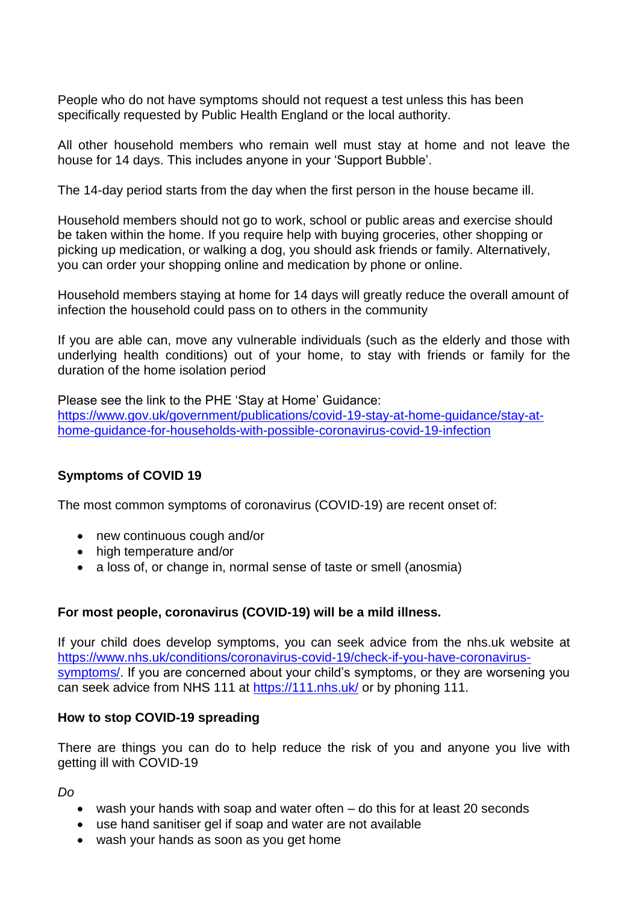People who do not have symptoms should not request a test unless this has been specifically requested by Public Health England or the local authority.

All other household members who remain well must stay at home and not leave the house for 14 days. This includes anyone in your 'Support Bubble'.

The 14-day period starts from the day when the first person in the house became ill.

Household members should not go to work, school or public areas and exercise should be taken within the home. If you require help with buying groceries, other shopping or picking up medication, or walking a dog, you should ask friends or family. Alternatively, you can order your shopping online and medication by phone or online.

Household members staying at home for 14 days will greatly reduce the overall amount of infection the household could pass on to others in the community

If you are able can, move any vulnerable individuals (such as the elderly and those with underlying health conditions) out of your home, to stay with friends or family for the duration of the home isolation period

Please see the link to the PHE 'Stay at Home' Guidance: [https://www.gov.uk/government/publications/covid-19-stay-at-home-guidance/stay-at](https://www.gov.uk/government/publications/covid-19-stay-at-home-guidance/stay-at-home-guidance-for-households-with-possible-coronavirus-covid-19-infection)[home-guidance-for-households-with-possible-coronavirus-covid-19-infection](https://www.gov.uk/government/publications/covid-19-stay-at-home-guidance/stay-at-home-guidance-for-households-with-possible-coronavirus-covid-19-infection)

### **Symptoms of COVID 19**

The most common symptoms of coronavirus (COVID-19) are recent onset of:

- new continuous cough and/or
- high temperature and/or
- a loss of, or change in, normal sense of taste or smell (anosmia)

### **For most people, coronavirus (COVID-19) will be a mild illness.**

If your child does develop symptoms, you can seek advice from the nhs.uk website at [https://www.nhs.uk/conditions/coronavirus-covid-19/check-if-you-have-coronavirus](https://www.nhs.uk/conditions/coronavirus-covid-19/check-if-you-have-coronavirus-symptoms/)[symptoms/.](https://www.nhs.uk/conditions/coronavirus-covid-19/check-if-you-have-coronavirus-symptoms/) If you are concerned about your child's symptoms, or they are worsening you can seek advice from NHS 111 at<https://111.nhs.uk/> or by phoning 111.

#### **How to stop COVID-19 spreading**

There are things you can do to help reduce the risk of you and anyone you live with getting ill with COVID-19

*Do*

- wash your hands with soap and water often do this for at least 20 seconds
- use hand sanitiser gel if soap and water are not available
- wash your hands as soon as you get home